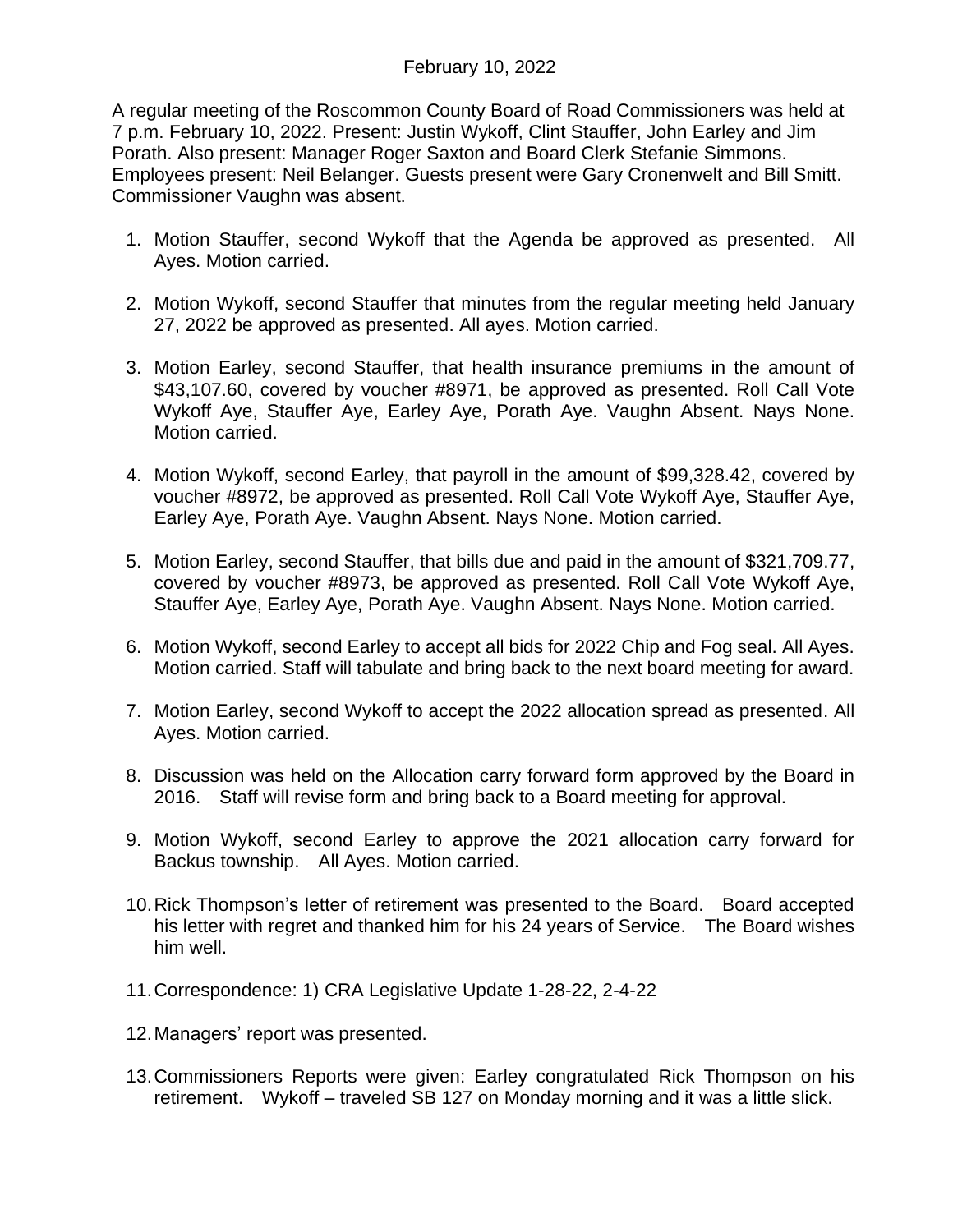## February 10, 2022

A regular meeting of the Roscommon County Board of Road Commissioners was held at 7 p.m. February 10, 2022. Present: Justin Wykoff, Clint Stauffer, John Earley and Jim Porath. Also present: Manager Roger Saxton and Board Clerk Stefanie Simmons. Employees present: Neil Belanger. Guests present were Gary Cronenwelt and Bill Smitt. Commissioner Vaughn was absent.

- 1. Motion Stauffer, second Wykoff that the Agenda be approved as presented. All Ayes. Motion carried.
- 2. Motion Wykoff, second Stauffer that minutes from the regular meeting held January 27, 2022 be approved as presented. All ayes. Motion carried.
- 3. Motion Earley, second Stauffer, that health insurance premiums in the amount of \$43,107.60, covered by voucher #8971, be approved as presented. Roll Call Vote Wykoff Aye, Stauffer Aye, Earley Aye, Porath Aye. Vaughn Absent. Nays None. Motion carried.
- 4. Motion Wykoff, second Earley, that payroll in the amount of \$99,328.42, covered by voucher #8972, be approved as presented. Roll Call Vote Wykoff Aye, Stauffer Aye, Earley Aye, Porath Aye. Vaughn Absent. Nays None. Motion carried.
- 5. Motion Earley, second Stauffer, that bills due and paid in the amount of \$321,709.77, covered by voucher #8973, be approved as presented. Roll Call Vote Wykoff Aye, Stauffer Aye, Earley Aye, Porath Aye. Vaughn Absent. Nays None. Motion carried.
- 6. Motion Wykoff, second Earley to accept all bids for 2022 Chip and Fog seal. All Ayes. Motion carried. Staff will tabulate and bring back to the next board meeting for award.
- 7. Motion Earley, second Wykoff to accept the 2022 allocation spread as presented. All Ayes. Motion carried.
- 8. Discussion was held on the Allocation carry forward form approved by the Board in 2016. Staff will revise form and bring back to a Board meeting for approval.
- 9. Motion Wykoff, second Earley to approve the 2021 allocation carry forward for Backus township. All Ayes. Motion carried.
- 10.Rick Thompson's letter of retirement was presented to the Board. Board accepted his letter with regret and thanked him for his 24 years of Service. The Board wishes him well.
- 11.Correspondence: 1) CRA Legislative Update 1-28-22, 2-4-22
- 12.Managers' report was presented.
- 13.Commissioners Reports were given: Earley congratulated Rick Thompson on his retirement. Wykoff – traveled SB 127 on Monday morning and it was a little slick.